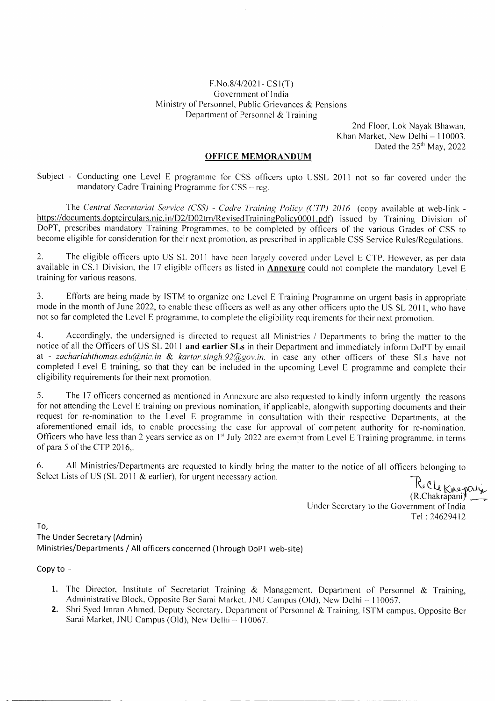## F.No.8/4/202 1- CS 1(T) Government of India Ministry of Personnel, Public Grievances & Pensions Department of Personnel & Training

2nd Floor, Lok Nayak Bhawan, Khan Market, New Delhi — 110003. Dated the  $25<sup>th</sup>$  May, 2022

## **OFFICE MEMORANDUM**

Subject - Conducting one Level E programme for CSS officers upto USSL 2011 not so far covered under the mandatory Cadre Training Programme for  $CSS - reg$ .

The *Central Secretariat Service (CSS) - Cadre Training Policy (CTP) 2016* (copy available at web-link https://documents.doptcirculars.nic.in/D2/D02trn/RevisedTrainingPolicy0001.pdf) issued by Training Division of DoPT, prescribes mandatory Training Programmes, to be completed by officers of the various Grades of CSS to become eligible for consideration for their next promotion. as prescribed in applicable CSS Service Rules/Regulations.

2. The eligible officers upto US SL 2011 have been largely covered under Level E CTP. However, as per data available in CS.1 Division. the 17 eligible officers as listed in **Annexure** could not complete the mandatory Level E training for various reasons.

3. Efforts are being made by ISTM to organize one Level E Training Programme on urgent basis in appropriate mode in the month of June 2022, to enable these officers as well as any other officers upto the US SL 2011, who have not so far completed the Level E programme, to complete the eligibility requirements for their next promotion.

4. Accordingly, the undersigned is directed to request all Ministries / Departments to bring the matter to the notice of all the Officers of US SL 2011 **and earlier SLs** in their Department and immediately inform DoPT by email at - *zachariahthomas.edu@nic.in & kartar.singh.92@gov.in*, in case any other officers of these SLs have not completed Level E training, so that they can be included in the upcoming Level E programme and complete their eligibility requirements for their next promotion.

5. The 17 officers concerned as mentioned in Annexure are also requested to kindly inform urgently the reasons for not attending the Level E training on previous nomination, if applicable, alongwith supporting documents and their request for re-nomination to the Level E programme in consultation with their respective Departments, at the aforementioned email ids, to enable processing the case for approval of competent authority for re-nomination. Officers who have less than 2 years service as on 1<sup>st</sup> July 2022 are exempt from Level E Training programme. in terms of para *5* ofthe CTP 2016,.

6. All Ministries/Departments are requested to kindly bring the matter to the notice of all officers belonging to Select Lists of US (SL 2011 & earlier), for urgent necessary action.

Releknopaly Under Secretary to the Government of India Tel :24629412

To, The Under Secretary (Admin) Ministries/Departments / All officers concerned (Through DoPT web-site)

Copy to  $-$ 

- 1. The Director, Institute of Secretariat Training & Management. Department of Personnel & Training, Administrative Block, Opposite Ber Sarai Market. JNU Campus (Old), New Delhi - 110067.
- 2. Shri Syed Imran Ahmed, Deputy Secretary, Department of Personnel & Training, ISTM campus, Opposite Ber Sarai Market, JNU Campus (Old), New Delhi — 110067.